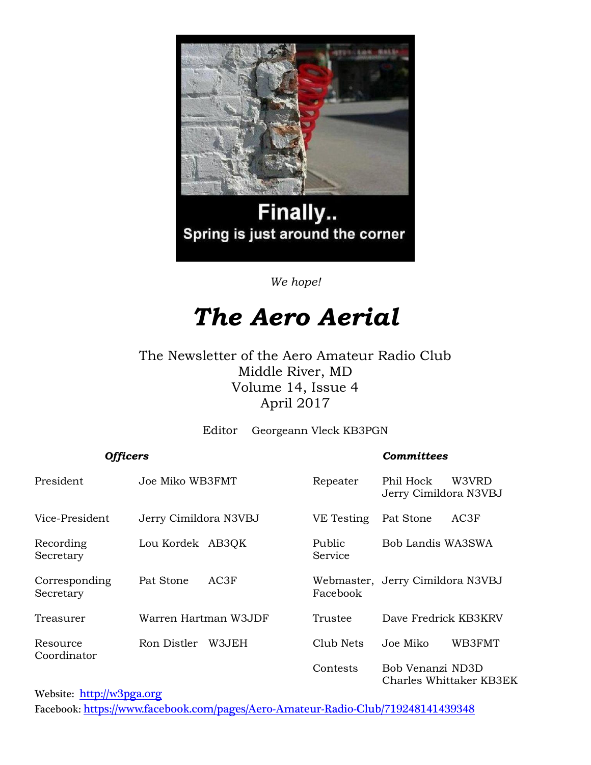

# Finally.. Spring is just around the corner

*We hope!*

# *The Aero Aerial*

#### The Newsletter of the Aero Amateur Radio Club Middle River, MD Volume 14, Issue 4 April 2017

Editor Georgeann Vleck KB3PGN

#### *Officers Committees*

| President                  | Joe Miko WB3FMT       | Repeater          | Phil Hock<br>Jerry Cimildora N3VBJ | W3VRD                   |
|----------------------------|-----------------------|-------------------|------------------------------------|-------------------------|
| Vice-President             | Jerry Cimildora N3VBJ | VE Testing        | Pat Stone                          | AC3F                    |
| Recording<br>Secretary     | Lou Kordek AB3QK      | Public<br>Service | Bob Landis WA3SWA                  |                         |
| Corresponding<br>Secretary | AC3F<br>Pat Stone     | Facebook          | Webmaster, Jerry Cimildora N3VBJ   |                         |
| Treasurer                  | Warren Hartman W3JDF  | Trustee           | Dave Fredrick KB3KRV               |                         |
| Resource<br>Coordinator    | W3JEH<br>Ron Distler  | Club Nets         | Joe Miko                           | WB3FMT                  |
|                            |                       | Contests          | Bob Venanzi ND3D                   | Charles Whittaker KB3EK |

Website: [http://w](http://home.comcast.net/~frank-stone/Aero%20ARC/aero.htm)3pga.org Facebook: <https://www.facebook.com/pages/Aero-Amateur-Radio-Club/719248141439348>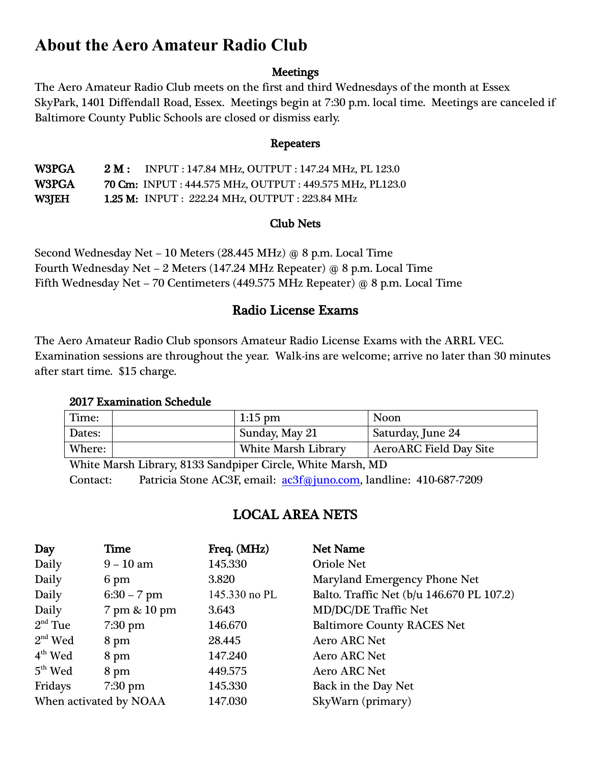# **About the Aero Amateur Radio Club**

#### **Meetings**

The Aero Amateur Radio Club meets on the first and third Wednesdays of the month at Essex SkyPark, 1401 Diffendall Road, Essex. Meetings begin at 7:30 p.m. local time. Meetings are canceled if Baltimore County Public Schools are closed or dismiss early.

#### Repeaters

W3PGA 2 M: INPUT : 147.84 MHz, OUTPUT : 147.24 MHz, PL 123.0 W3PGA 70 Cm: INPUT : 444.575 MHz, OUTPUT : 449.575 MHz, PL123.0 W3JEH 1.25 M: INPUT : 222.24 MHz, OUTPUT : 223.84 MHz

#### Club Nets

Second Wednesday Net – 10 Meters (28.445 MHz) @ 8 p.m. Local Time Fourth Wednesday Net – 2 Meters (147.24 MHz Repeater) @ 8 p.m. Local Time Fifth Wednesday Net – 70 Centimeters (449.575 MHz Repeater) @ 8 p.m. Local Time

#### Radio License Exams

The Aero Amateur Radio Club sponsors Amateur Radio License Exams with the ARRL VEC. Examination sessions are throughout the year. Walk-ins are welcome; arrive no later than 30 minutes after start time. \$15 charge.

#### 2017 Examination Schedule

| Time:  | $1:15$ pm                  | <b>Noon</b>                   |
|--------|----------------------------|-------------------------------|
| Dates: | Sunday, May 21             | Saturday, June 24             |
| Where: | <b>White Marsh Library</b> | <b>AeroARC Field Day Site</b> |

White Marsh Library, 8133 Sandpiper Circle, White Marsh, MD Contact: Patricia Stone AC3F, email: [ac3f@juno.com,](mailto:ac3f@juno.com) landline: 410-687-7209

### LOCAL AREA NETS

| Day                    | Time          | Freq. (MHz)   | <b>Net Name</b>                           |
|------------------------|---------------|---------------|-------------------------------------------|
| Daily                  | $9 - 10$ am   | 145.330       | <b>Oriole Net</b>                         |
| Daily                  | 6 pm          | 3.820         | Maryland Emergency Phone Net              |
| Daily                  | $6:30 - 7$ pm | 145.330 no PL | Balto. Traffic Net (b/u 146.670 PL 107.2) |
| Daily                  | 7 pm & 10 pm  | 3.643         | <b>MD/DC/DE Traffic Net</b>               |
| $2nd$ Tue              | $7:30$ pm     | 146.670       | <b>Baltimore County RACES Net</b>         |
| $2nd$ Wed              | 8 pm          | 28.445        | <b>Aero ARC Net</b>                       |
| $4th$ Wed              | 8 pm          | 147.240       | <b>Aero ARC Net</b>                       |
| $5th$ Wed              | 8 pm          | 449.575       | <b>Aero ARC Net</b>                       |
| Fridays                | $7:30$ pm     | 145.330       | Back in the Day Net                       |
| When activated by NOAA |               | 147.030       | SkyWarn (primary)                         |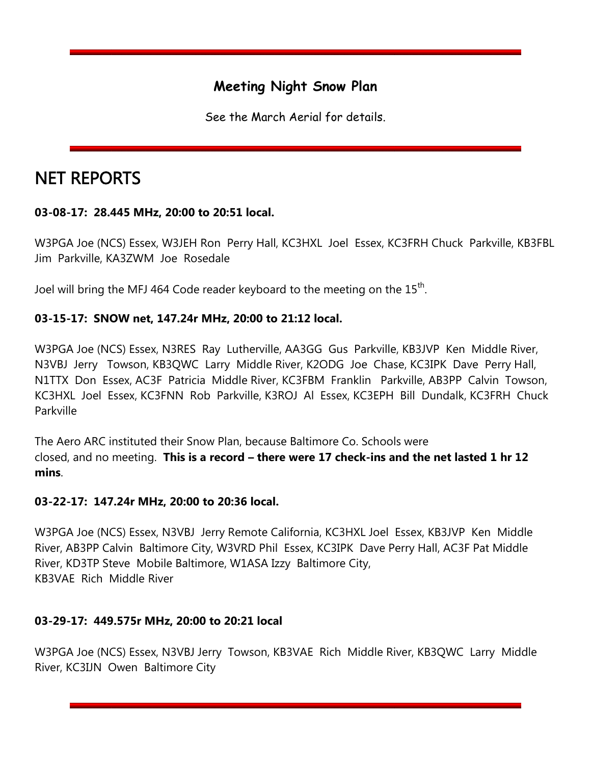## **Meeting Night Snow Plan**

See the March Aerial for details.

# NET REPORTS

#### **03-08-17: 28.445 MHz, 20:00 to 20:51 local.**

W3PGA Joe (NCS) Essex, W3JEH Ron Perry Hall, KC3HXL Joel Essex, KC3FRH Chuck Parkville, KB3FBL Jim Parkville, KA3ZWM Joe Rosedale

Joel will bring the MFJ 464 Code reader keyboard to the meeting on the  $15^{\text{th}}$ .

#### **03-15-17: SNOW net, 147.24r MHz, 20:00 to 21:12 local.**

W3PGA Joe (NCS) Essex, N3RES Ray Lutherville, AA3GG Gus Parkville, KB3JVP Ken Middle River, N3VBJ Jerry Towson, KB3QWC Larry Middle River, K2ODG Joe Chase, KC3IPK Dave Perry Hall, N1TTX Don Essex, AC3F Patricia Middle River, KC3FBM Franklin Parkville, AB3PP Calvin Towson, KC3HXL Joel Essex, KC3FNN Rob Parkville, K3ROJ Al Essex, KC3EPH Bill Dundalk, KC3FRH Chuck Parkville

The Aero ARC instituted their Snow Plan, because Baltimore Co. Schools were closed, and no meeting. **This is a record – there were 17 check-ins and the net lasted 1 hr 12 mins**.

#### **03-22-17: 147.24r MHz, 20:00 to 20:36 local.**

W3PGA Joe (NCS) Essex, N3VBJ Jerry Remote California, KC3HXL Joel Essex, KB3JVP Ken Middle River, AB3PP Calvin Baltimore City, W3VRD Phil Essex, KC3IPK Dave Perry Hall, AC3F Pat Middle River, KD3TP Steve Mobile Baltimore, W1ASA Izzy Baltimore City, KB3VAE Rich Middle River

#### **03-29-17: 449.575r MHz, 20:00 to 20:21 local**

W3PGA Joe (NCS) Essex, N3VBJ Jerry Towson, KB3VAE Rich Middle River, KB3QWC Larry Middle River, KC3IJN Owen Baltimore City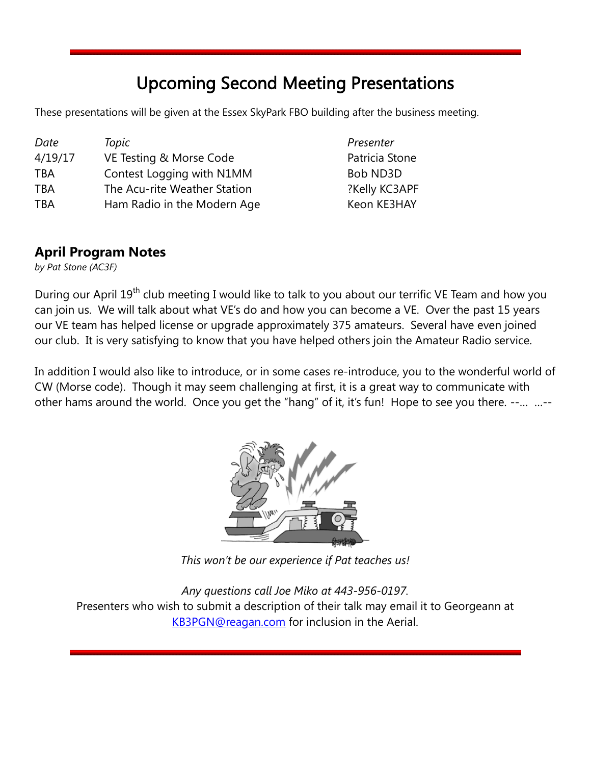# Upcoming Second Meeting Presentations

These presentations will be given at the Essex SkyPark FBO building after the business meeting.

| Date       | Topic                        | Presenter      |
|------------|------------------------------|----------------|
| 4/19/17    | VE Testing & Morse Code      | Patricia Stone |
| <b>TBA</b> | Contest Logging with N1MM    | Bob ND3D       |
| <b>TBA</b> | The Acu-rite Weather Station | ?Kelly KC3APF  |
| <b>TBA</b> | Ham Radio in the Modern Age  | Keon KE3HAY    |

#### **April Program Notes**

*by Pat Stone (AC3F)*

During our April 19<sup>th</sup> club meeting I would like to talk to you about our terrific VE Team and how you can join us. We will talk about what VE's do and how you can become a VE. Over the past 15 years our VE team has helped license or upgrade approximately 375 amateurs. Several have even joined our club. It is very satisfying to know that you have helped others join the Amateur Radio service.

In addition I would also like to introduce, or in some cases re-introduce, you to the wonderful world of CW (Morse code). Though it may seem challenging at first, it is a great way to communicate with other hams around the world. Once you get the "hang" of it, it's fun! Hope to see you there. --… …--



*This won't be our experience if Pat teaches us!*

*Any questions call Joe Miko at 443-956-0197.* Presenters who wish to submit a description of their talk may email it to Georgeann at [KB3PGN@reagan.com](mailto:KB3PGN@reagan.com) for inclusion in the Aerial.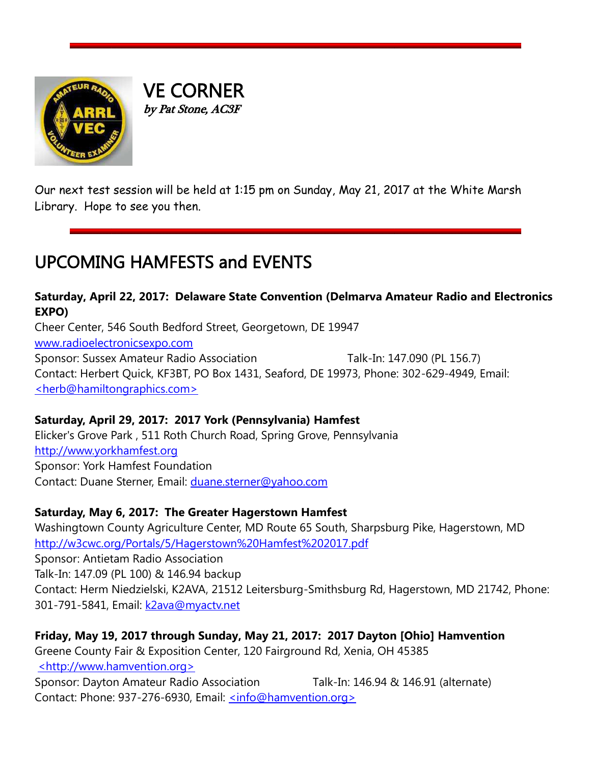

VE CORNER by Pat Stone, AC3F

Our next test session will be held at 1:15 pm on Sunday, May 21, 2017 at the White Marsh Library. Hope to see you then.

# UPCOMING HAMFESTS and EVENTS

# **Saturday, April 22, 2017: Delaware State Convention (Delmarva Amateur Radio and Electronics EXPO)**

Cheer Center, 546 South Bedford Street, Georgetown, DE 19947 [www.radioelectronicsexpo.com](http://www.radioelectronicsexpo.com/) Sponsor: Sussex Amateur Radio Association Talk-In: 147.090 (PL 156.7) Contact: Herbert Quick, KF3BT, PO Box 1431, Seaford, DE 19973, Phone: 302-629-4949, Email: [<herb@hamiltongraphics.com>](mailto:herb@hamiltongraphics.com)

#### **Saturday, April 29, 2017: 2017 York (Pennsylvania) Hamfest**

Elicker's Grove Park , 511 Roth Church Road, Spring Grove, Pennsylvania [http://www.yorkhamfest.org](http://www.yorkhamfest.org/) Sponsor: York Hamfest Foundation Contact: Duane Sterner, Email: [duane.sterner@yahoo.com](mailto:duane.sterner@yahoo.com)

#### **Saturday, May 6, 2017: The Greater Hagerstown Hamfest**

Washingtown County Agriculture Center, MD Route 65 South, Sharpsburg Pike, Hagerstown, MD <http://w3cwc.org/Portals/5/Hagerstown%20Hamfest%202017.pdf> Sponsor: Antietam Radio Association Talk-In: 147.09 (PL 100) & 146.94 backup Contact: Herm Niedzielski, K2AVA, 21512 Leitersburg-Smithsburg Rd, Hagerstown, MD 21742, Phone: 301-791-5841, Email: [k2ava@myactv.net](mailto:k2ava@myactv.net)

**Friday, May 19, 2017 through Sunday, May 21, 2017: 2017 Dayton [Ohio] Hamvention** Greene County Fair & Exposition Center, 120 Fairground Rd, Xenia, OH 45385 [<http://www.hamvention.org>](http://www.hamvention.org/) Sponsor: Dayton Amateur Radio Association Talk-In: 146.94 & 146.91 (alternate) Contact: Phone: 937-276-6930, Email: [<info@hamvention.org>](mailto:info@hamvention.org)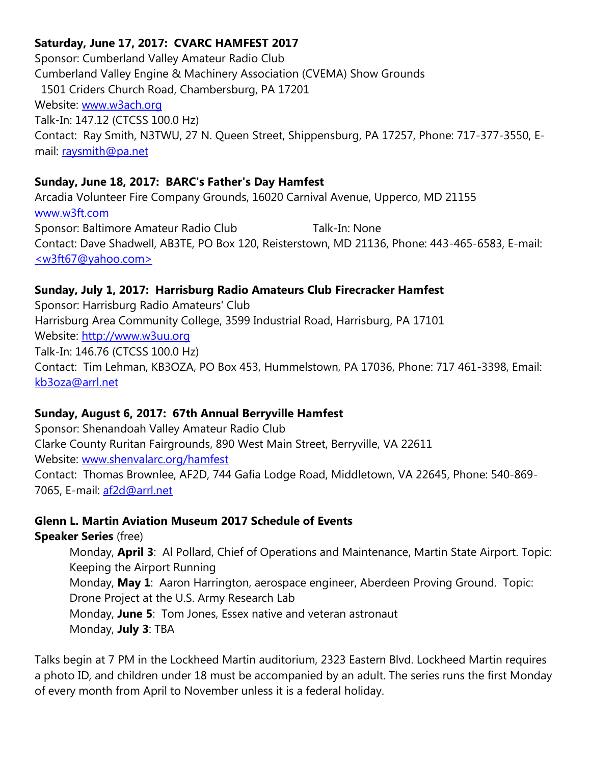#### **Saturday, June 17, 2017: CVARC HAMFEST 2017**

Sponsor: Cumberland Valley Amateur Radio Club Cumberland Valley Engine & Machinery Association (CVEMA) Show Grounds 1501 Criders Church Road, Chambersburg, PA 17201 Website: [www.w3ach.org](http://www.w3ach.org/) Talk-In: 147.12 (CTCSS 100.0 Hz) Contact: Ray Smith, N3TWU, 27 N. Queen Street, Shippensburg, PA 17257, Phone: 717-377-3550, Email: [raysmith@pa.net](mailto:raysmith@pa.net)

#### **Sunday, June 18, 2017: BARC's Father's Day Hamfest**

Arcadia Volunteer Fire Company Grounds, 16020 Carnival Avenue, Upperco, MD 21155 [www.w3ft.com](http://www.w3ft.com/) Sponsor: Baltimore Amateur Radio Club Talk-In: None Contact: Dave Shadwell, AB3TE, PO Box 120, Reisterstown, MD 21136, Phone: 443-465-6583, E-mail: [<w3ft67@yahoo.com>](mailto:w3ft67@yahoo.com)

#### **Sunday, July 1, 2017: Harrisburg Radio Amateurs Club Firecracker Hamfest**

Sponsor: Harrisburg Radio Amateurs' Club Harrisburg Area Community College, 3599 Industrial Road, Harrisburg, PA 17101 Website: [http://www.w3uu.org](http://www.w3uu.org/) Talk-In: 146.76 (CTCSS 100.0 Hz) Contact: Tim Lehman, KB3OZA, PO Box 453, Hummelstown, PA 17036, Phone: 717 461-3398, Email: [kb3oza@arrl.net](mailto:kb3oza@arrl.net)

#### **Sunday, August 6, 2017: 67th Annual Berryville Hamfest**

Sponsor: Shenandoah Valley Amateur Radio Club Clarke County Ruritan Fairgrounds, 890 West Main Street, Berryville, VA 22611 Website: [www.shenvalarc.org/hamfest](http://www.shenvalarc.org/hamfest) Contact: Thomas Brownlee, AF2D, 744 Gafia Lodge Road, Middletown, VA 22645, Phone: 540-869- 7065, E-mail: [af2d@arrl.net](mailto:af2d@arrl.net)

#### **Glenn L. Martin Aviation Museum 2017 Schedule of Events**

**Speaker Series** (free)

Monday, **April 3**: Al Pollard, Chief of Operations and Maintenance, Martin State Airport. Topic: Keeping the Airport Running Monday, **May 1**: Aaron Harrington, aerospace engineer, Aberdeen Proving Ground. Topic: Drone Project at the U.S. Army Research Lab Monday, **June 5**: Tom Jones, Essex native and veteran astronaut Monday, **July 3**: TBA

Talks begin at 7 PM in the Lockheed Martin auditorium, 2323 Eastern Blvd. Lockheed Martin requires a photo ID, and children under 18 must be accompanied by an adult. The series runs the first Monday of every month from April to November unless it is a federal holiday.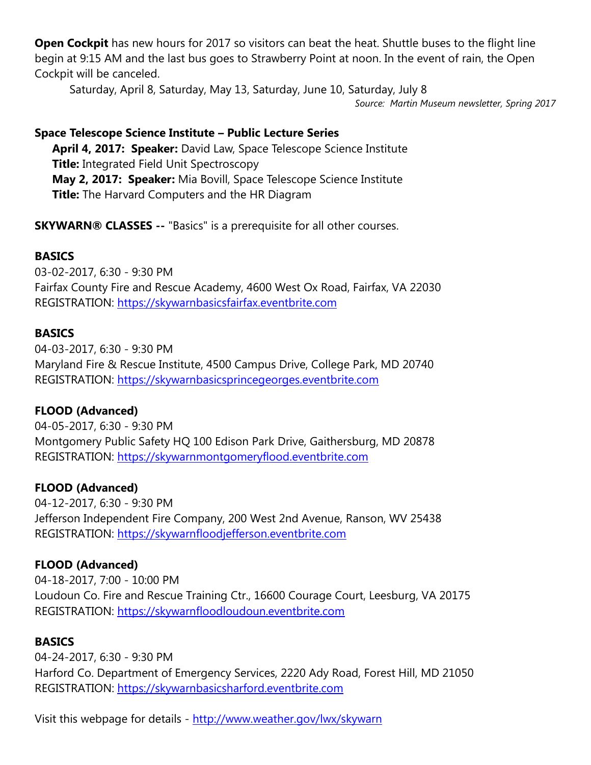**Open Cockpit** has new hours for 2017 so visitors can beat the heat. Shuttle buses to the flight line begin at 9:15 AM and the last bus goes to Strawberry Point at noon. In the event of rain, the Open Cockpit will be canceled.

Saturday, April 8, Saturday, May 13, Saturday, June 10, Saturday, July 8

*Source: Martin Museum newsletter, Spring 2017*

#### **Space Telescope Science Institute – Public Lecture Series**

**April 4, 2017: Speaker:** David Law, Space Telescope Science Institute **Title:** Integrated Field Unit Spectroscopy **May 2, 2017: Speaker:** Mia Bovill, Space Telescope Science Institute **Title:** The Harvard Computers and the HR Diagram

**SKYWARN® CLASSES --** "Basics" is a prerequisite for all other courses.

#### **BASICS**

03-02-2017, 6:30 - 9:30 PM Fairfax County Fire and Rescue Academy, 4600 West Ox Road, Fairfax, VA 22030 REGISTRATION: [https://skywarnbasicsfairfax.eventbrite.com](https://skywarnbasicsfairfax.eventbrite.com/)

#### **BASICS**

04-03-2017, 6:30 - 9:30 PM Maryland Fire & Rescue Institute, 4500 Campus Drive, College Park, MD 20740 REGISTRATION: [https://skywarnbasicsprincegeorges.eventbrite.com](https://skywarnbasicsprincegeorges.eventbrite.com/)

#### **FLOOD (Advanced)**

04-05-2017, 6:30 - 9:30 PM Montgomery Public Safety HQ 100 Edison Park Drive, Gaithersburg, MD 20878 REGISTRATION: [https://skywarnmontgomeryflood.eventbrite.com](https://skywarnmontgomeryflood.eventbrite.com/)

#### **FLOOD (Advanced)**

04-12-2017, 6:30 - 9:30 PM Jefferson Independent Fire Company, 200 West 2nd Avenue, Ranson, WV 25438 REGISTRATION: [https://skywarnfloodjefferson.eventbrite.com](https://skywarnfloodjefferson.eventbrite.com/)

#### **FLOOD (Advanced)**

04-18-2017, 7:00 - 10:00 PM Loudoun Co. Fire and Rescue Training Ctr., 16600 Courage Court, Leesburg, VA 20175 REGISTRATION: [https://skywarnfloodloudoun.eventbrite.com](https://skywarnfloodloudoun.eventbrite.com/)

#### **BASICS**

04-24-2017, 6:30 - 9:30 PM Harford Co. Department of Emergency Services, 2220 Ady Road, Forest Hill, MD 21050 REGISTRATION: [https://skywarnbasicsharford.eventbrite.com](https://skywarnbasicsharford.eventbrite.com/)

Visit this webpage for details - <http://www.weather.gov/lwx/skywarn>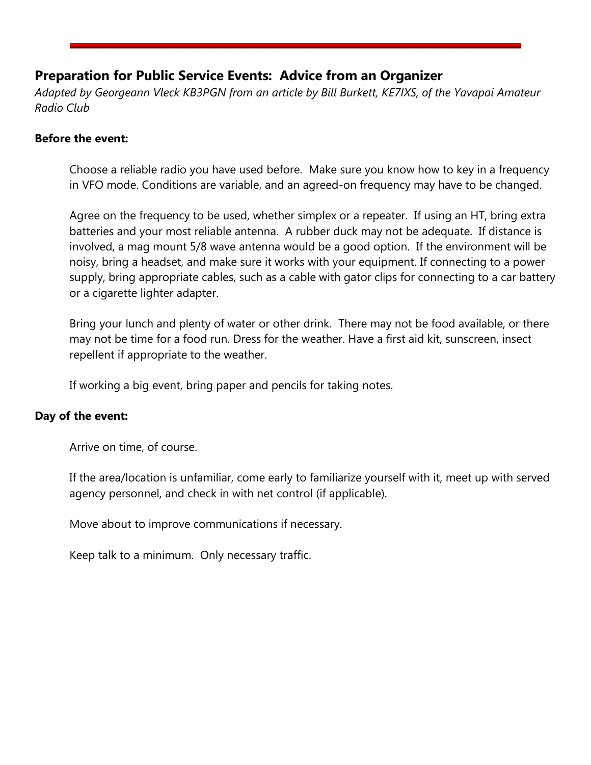#### **Preparation for Public Service Events: Advice from an Organizer**

*Adapted by Georgeann Vleck KB3PGN from an article by Bill Burkett, KE7IXS, of the Yavapai Amateur Radio Club*

#### **Before the event:**

Choose a reliable radio you have used before. Make sure you know how to key in a frequency in VFO mode. Conditions are variable, and an agreed-on frequency may have to be changed.

Agree on the frequency to be used, whether simplex or a repeater. If using an HT, bring extra batteries and your most reliable antenna. A rubber duck may not be adequate. If distance is involved, a mag mount 5/8 wave antenna would be a good option. If the environment will be noisy, bring a headset, and make sure it works with your equipment. If connecting to a power supply, bring appropriate cables, such as a cable with gator clips for connecting to a car battery or a cigarette lighter adapter.

Bring your lunch and plenty of water or other drink. There may not be food available, or there may not be time for a food run. Dress for the weather. Have a first aid kit, sunscreen, insect repellent if appropriate to the weather.

If working a big event, bring paper and pencils for taking notes.

#### **Day of the event:**

Arrive on time, of course.

If the area/location is unfamiliar, come early to familiarize yourself with it, meet up with served agency personnel, and check in with net control (if applicable).

Move about to improve communications if necessary.

Keep talk to a minimum. Only necessary traffic.